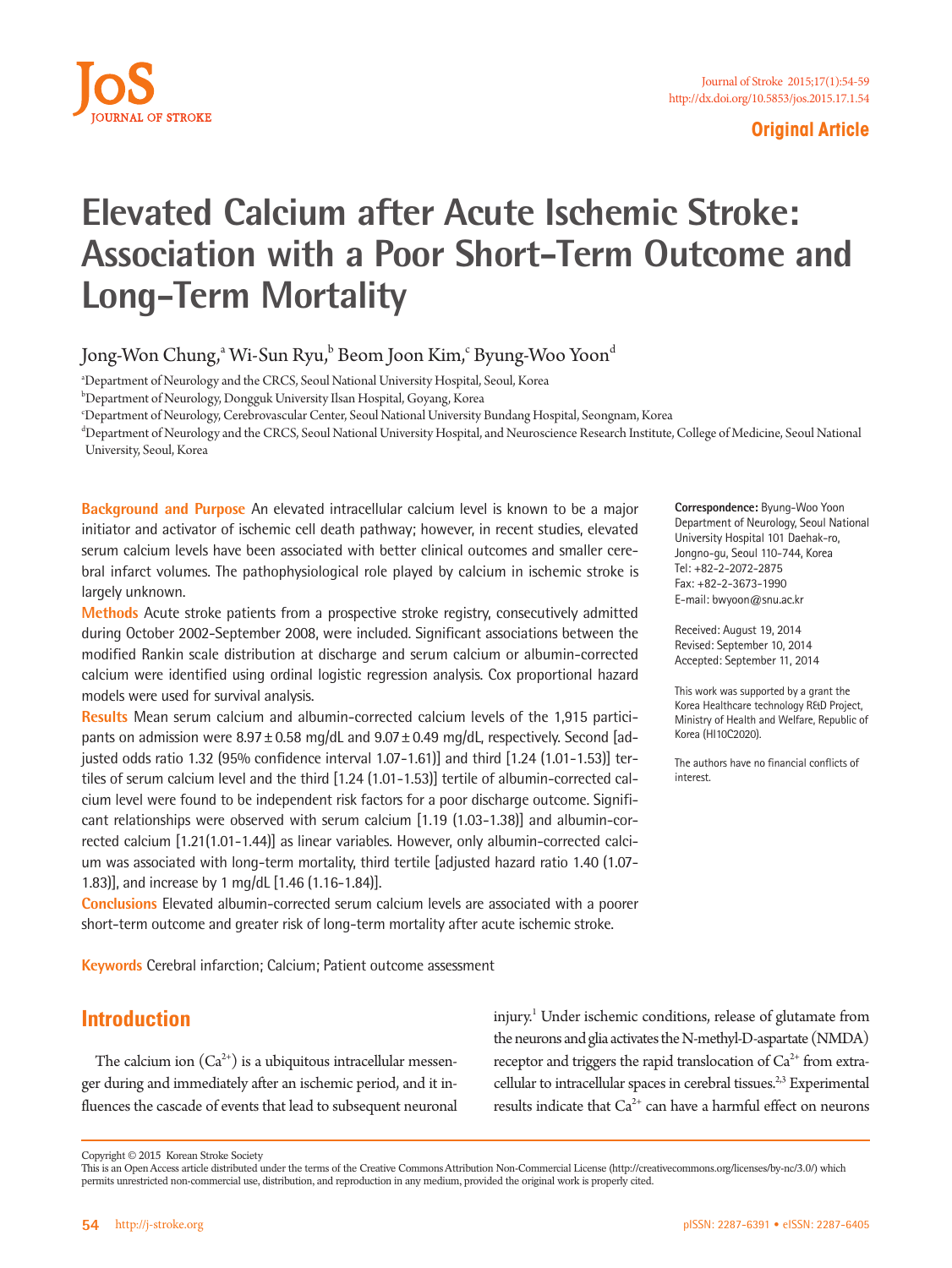

### **Original Article**

# **Elevated Calcium after Acute Ischemic Stroke: Association with a Poor Short-Term Outcome and Long-Term Mortality**

Jong-Won Chung, $\lq$  Wi-Sun Ryu, $\lq$  Beom Joon Kim, $\lq$  Byung-Woo Yoon $\lq$ 

a Department of Neurology and the CRCS, Seoul National University Hospital, Seoul, Korea

b Department of Neurology, Dongguk University Ilsan Hospital, Goyang, Korea

c Department of Neurology, Cerebrovascular Center, Seoul National University Bundang Hospital, Seongnam, Korea

d Department of Neurology and the CRCS, Seoul National University Hospital, and Neuroscience Research Institute, College of Medicine, Seoul National University, Seoul, Korea

**Background and Purpose** An elevated intracellular calcium level is known to be a major initiator and activator of ischemic cell death pathway; however, in recent studies, elevated serum calcium levels have been associated with better clinical outcomes and smaller cerebral infarct volumes. The pathophysiological role played by calcium in ischemic stroke is largely unknown.

**Methods** Acute stroke patients from a prospective stroke registry, consecutively admitted during October 2002-September 2008, were included. Significant associations between the modified Rankin scale distribution at discharge and serum calcium or albumin-corrected calcium were identified using ordinal logistic regression analysis. Cox proportional hazard models were used for survival analysis.

**Results** Mean serum calcium and albumin-corrected calcium levels of the 1,915 participants on admission were  $8.97 \pm 0.58$  mg/dL and  $9.07 \pm 0.49$  mg/dL, respectively. Second [adjusted odds ratio 1.32 (95% confidence interval 1.07-1.61)] and third [1.24 (1.01-1.53)] tertiles of serum calcium level and the third [1.24 (1.01-1.53)] tertile of albumin-corrected calcium level were found to be independent risk factors for a poor discharge outcome. Significant relationships were observed with serum calcium [1.19 (1.03-1.38)] and albumin-corrected calcium [1.21(1.01-1.44)] as linear variables. However, only albumin-corrected calcium was associated with long-term mortality, third tertile [adjusted hazard ratio 1.40 (1.07- 1.83)], and increase by 1 mg/dL [1.46 (1.16-1.84)].

**Conclusions** Elevated albumin-corrected serum calcium levels are associated with a poorer short-term outcome and greater risk of long-term mortality after acute ischemic stroke.

**Keywords** Cerebral infarction; Calcium; Patient outcome assessment

# **Introduction**

The calcium ion  $(Ca^{2+})$  is a ubiquitous intracellular messenger during and immediately after an ischemic period, and it influences the cascade of events that lead to subsequent neuronal injury.1 Under ischemic conditions, release of glutamate from the neurons and glia activates the N-methyl-D-aspartate (NMDA) receptor and triggers the rapid translocation of  $Ca^{2+}$  from extracellular to intracellular spaces in cerebral tissues.<sup>2,3</sup> Experimental results indicate that  $Ca^{2+}$  can have a harmful effect on neurons

**Correspondence:** Byung-Woo Yoon Department of Neurology, Seoul National University Hospital 101 Daehak-ro, Jongno-gu, Seoul 110-744, Korea Tel: +82-2-2072-2875 Fax: +82-2-3673-1990 E-mail: bwyoon@snu.ac.kr

Received: August 19, 2014 Revised: September 10, 2014 Accepted: September 11, 2014

This work was supported by a grant the Korea Healthcare technology R&D Project, Ministry of Health and Welfare, Republic of Korea (HI10C2020).

The authors have no financial conflicts of interest.

Copyright © 2015 Korean Stroke Society

This is an Open Access article distributed under the terms of the Creative Commons Attribution Non-Commercial License (http://creativecommons.org/licenses/by-nc/3.0/) which permits unrestricted non-commercial use, distribution, and reproduction in any medium, provided the original work is properly cited.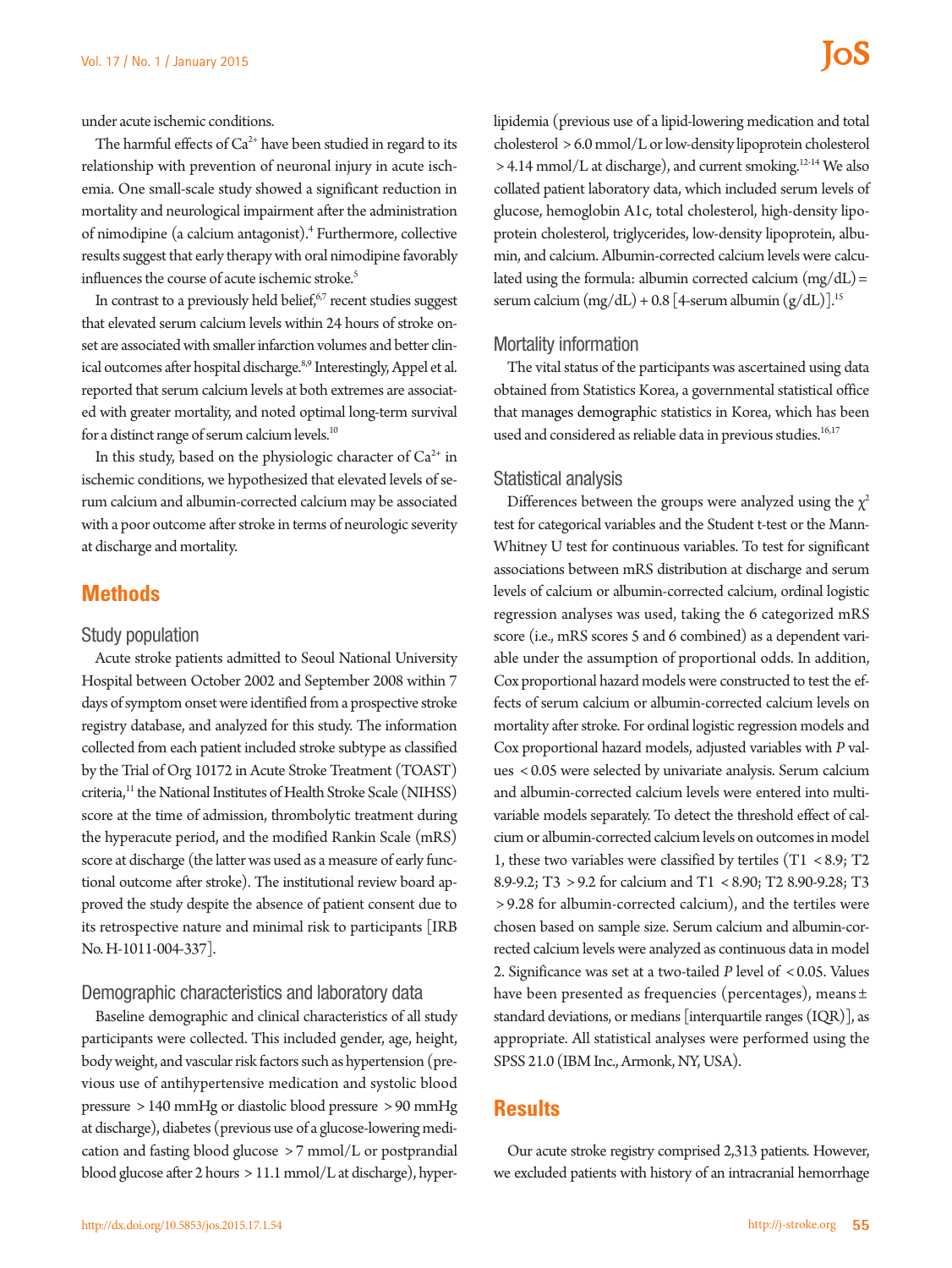The harmful effects of  $Ca^{2+}$  have been studied in regard to its relationship with prevention of neuronal injury in acute ischemia. One small-scale study showed a significant reduction in mortality and neurological impairment after the administration of nimodipine (a calcium antagonist).4 Furthermore, collective results suggest that early therapy with oral nimodipine favorably influences the course of acute ischemic stroke.<sup>5</sup>

In contrast to a previously held belief, $67$  recent studies suggest that elevated serum calcium levels within 24 hours of stroke onset are associated with smaller infarction volumes and better clinical outcomes after hospital discharge.<sup>8,9</sup> Interestingly, Appel et al. reported that serum calcium levels at both extremes are associated with greater mortality, and noted optimal long-term survival for a distinct range of serum calcium levels.<sup>10</sup>

In this study, based on the physiologic character of  $Ca<sup>2+</sup>$  in ischemic conditions, we hypothesized that elevated levels of serum calcium and albumin-corrected calcium may be associated with a poor outcome after stroke in terms of neurologic severity at discharge and mortality.

## **Methods**

#### Study population

Acute stroke patients admitted to Seoul National University Hospital between October 2002 and September 2008 within 7 days of symptom onset were identified from a prospective stroke registry database, and analyzed for this study. The information collected from each patient included stroke subtype as classified by the Trial of Org 10172 in Acute Stroke Treatment (TOAST) criteria,<sup>11</sup> the National Institutes of Health Stroke Scale (NIHSS) score at the time of admission, thrombolytic treatment during the hyperacute period, and the modified Rankin Scale (mRS) score at discharge (the latter was used as a measure of early functional outcome after stroke). The institutional review board approved the study despite the absence of patient consent due to its retrospective nature and minimal risk to participants [IRB No. H-1011-004-337].

#### Demographic characteristics and laboratory data

Baseline demographic and clinical characteristics of all study participants were collected. This included gender, age, height, body weight, and vascular risk factors such as hypertension (previous use of antihypertensive medication and systolic blood pressure > 140 mmHg or diastolic blood pressure > 90 mmHg at discharge), diabetes (previous use of a glucose-lowering medication and fasting blood glucose > 7 mmol/L or postprandial blood glucose after 2 hours > 11.1 mmol/L at discharge), hyperlipidemia (previous use of a lipid-lowering medication and total cholesterol > 6.0 mmol/L or low-density lipoprotein cholesterol > 4.14 mmol/L at discharge), and current smoking.12-14 We also collated patient laboratory data, which included serum levels of glucose, hemoglobin A1c, total cholesterol, high-density lipoprotein cholesterol, triglycerides, low-density lipoprotein, albumin, and calcium. Albumin-corrected calcium levels were calculated using the formula: albumin corrected calcium  $(mg/dL)$  = serum calcium  $(mg/dL) + 0.8$  [4-serum albumin  $(g/dL)$ ].<sup>15</sup>

#### Mortality information

The vital status of the participants was ascertained using data obtained from Statistics Korea, a governmental statistical office that manages demographic statistics in Korea, which has been used and considered as reliable data in previous studies.<sup>16,17</sup>

#### Statistical analysis

Differences between the groups were analyzed using the  $\chi^2$ test for categorical variables and the Student t-test or the Mann-Whitney U test for continuous variables. To test for significant associations between mRS distribution at discharge and serum levels of calcium or albumin-corrected calcium, ordinal logistic regression analyses was used, taking the 6 categorized mRS score (i.e., mRS scores 5 and 6 combined) as a dependent variable under the assumption of proportional odds. In addition, Cox proportional hazard models were constructed to test the effects of serum calcium or albumin-corrected calcium levels on mortality after stroke. For ordinal logistic regression models and Cox proportional hazard models, adjusted variables with *P* values < 0.05 were selected by univariate analysis. Serum calcium and albumin-corrected calcium levels were entered into multivariable models separately. To detect the threshold effect of calcium or albumin-corrected calcium levels on outcomes in model 1, these two variables were classified by tertiles (T1 < 8.9; T2 8.9-9.2; T3 > 9.2 for calcium and T1 < 8.90; T2 8.90-9.28; T3 > 9.28 for albumin-corrected calcium), and the tertiles were chosen based on sample size. Serum calcium and albumin-corrected calcium levels were analyzed as continuous data in model 2. Significance was set at a two-tailed *P* level of < 0.05. Values have been presented as frequencies (percentages), means ± standard deviations, or medians [interquartile ranges (IQR)], as appropriate. All statistical analyses were performed using the SPSS 21.0 (IBM Inc., Armonk, NY, USA).

## **Results**

Our acute stroke registry comprised 2,313 patients. However, we excluded patients with history of an intracranial hemorrhage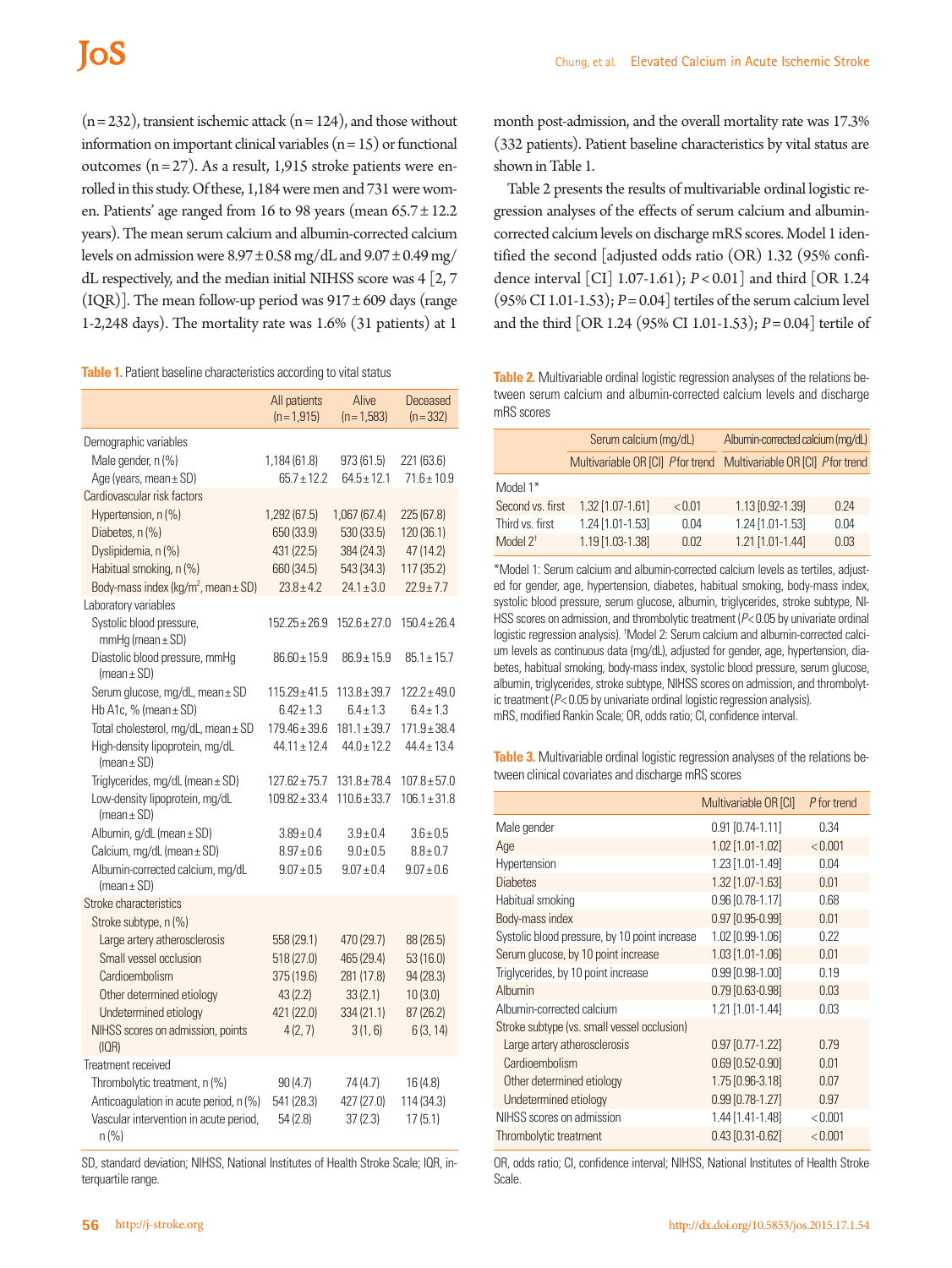$(n=232)$ , transient ischemic attack  $(n=124)$ , and those without information on important clinical variables  $(n = 15)$  or functional outcomes  $(n=27)$ . As a result, 1,915 stroke patients were enrolled in this study. Of these, 1,184 were men and 731 were women. Patients' age ranged from 16 to 98 years (mean  $65.7 \pm 12.2$ years). The mean serum calcium and albumin-corrected calcium levels on admission were  $8.97 \pm 0.58$  mg/dL and  $9.07 \pm 0.49$  mg/ dL respectively, and the median initial NIHSS score was  $4$  [2, 7] (IQR)]. The mean follow-up period was  $917 \pm 609$  days (range 1-2,248 days). The mortality rate was 1.6% (31 patients) at 1

| Table 1. Patient baseline characteristics according to vital status |  |
|---------------------------------------------------------------------|--|
|---------------------------------------------------------------------|--|

|                                                                                            | All patients<br>$(n=1,915)$ | Alive<br>$(n=1,583)$  | Deceased<br>$(n=332)$ |
|--------------------------------------------------------------------------------------------|-----------------------------|-----------------------|-----------------------|
| Demographic variables                                                                      |                             |                       |                       |
| Male gender, n (%)                                                                         | 1,184 (61.8)                | 973 (61.5)            | 221 (63.6)            |
| Age (years, mean ± SD)                                                                     | $65.7 + 12.2$               | $64.5 + 12.1$         | $71.6 \pm 10.9$       |
| Cardiovascular risk factors                                                                |                             |                       |                       |
| Hypertension, n (%)                                                                        | 1,292(67.5)                 | 1,067 (67.4)          | 225(67.8)             |
| Diabetes, n (%)                                                                            | 650 (33.9)                  | 530(33.5)             | 120 (36.1)            |
| Dyslipidemia, n (%)                                                                        | 431 (22.5)                  | 384 (24.3)            | 47 (14.2)             |
| Habitual smoking, n (%)                                                                    | 660 (34.5)                  | 543 (34.3)            | 117 (35.2)            |
| Body-mass index (kg/m <sup>2</sup> , mean $\pm$ SD)                                        | $23.8 \pm 4.2$              | $24.1 \pm 3.0$        | $22.9 + 7.7$          |
| Laboratory variables                                                                       |                             |                       |                       |
| Systolic blood pressure,<br>$mmHg$ (mean $\pm$ SD)                                         | $152.25 \pm 26.9$           | $152.6 \pm 27.0$      | $150.4 \pm 26.4$      |
| Diastolic blood pressure, mmHg<br>(mean $\pm$ SD)                                          | $86.60 \pm 15.9$            | $86.9 + 15.9$         | $85.1 \pm 15.7$       |
| Serum glucose, mg/dL, mean ± SD                                                            | $115.29 \pm 41.5$           | $113.8 \pm 39.7$      | $122.2 \pm 49.0$      |
| Hb A1c, % (mean ± SD)                                                                      | $6.42 \pm 1.3$              | $6.4 \pm 1.3$         | $6.4 \pm 1.3$         |
| Total cholesterol, mg/dL, mean ± SD                                                        | $179.46 \pm 39.6$           | $181.1 \pm 39.7$      | $171.9 \pm 38.4$      |
| High-density lipoprotein, mg/dL<br>(mean $\pm$ SD)                                         | $44.11 \pm 12.4$            | $44.0 \pm 12.2$       | $44.4 \pm 13.4$       |
| Triglycerides, mg/dL (mean ± SD)                                                           | $127.62 \pm 75.7$           | $131.8 \pm 78.4$      | $107.8 \pm 57.0$      |
| Low-density lipoprotein, mg/dL<br>(mean $\pm$ SD)                                          | $109.82 \pm 33.4$           | $110.6 \pm 33.7$      | $106.1 \pm 31.8$      |
| Albumin, g/dL (mean ± SD)                                                                  | $3.89 \pm 0.4$              | $3.9 \pm 0.4$         | $3.6 + 0.5$           |
| Calcium, mg/dL (mean ± SD)                                                                 | $8.97 \pm 0.6$              | $9.0 + 0.5$           | $8.8 \pm 0.7$         |
| Albumin-corrected calcium, mg/dL<br>(mean $\pm$ SD)                                        | $9.07 \pm 0.5$              | $9.07 \pm 0.4$        | $9.07 \pm 0.6$        |
| Stroke characteristics                                                                     |                             |                       |                       |
| Stroke subtype, n (%)                                                                      |                             |                       |                       |
| Large artery atherosclerosis                                                               | 558 (29.1)                  | 470 (29.7)            | 88 (26.5)             |
| Small vessel occlusion                                                                     | 518 (27.0)                  | 465 (29.4)            | 53 (16.0)             |
| Cardioembolism                                                                             | 375 (19.6)                  | 281 (17.8)            | 94 (28.3)             |
| Other determined etiology                                                                  | 43(2.2)                     | 33(2.1)               | 10(3.0)               |
| Undetermined etiology                                                                      | 421 (22.0)                  | 334 (21.1)            | 87 (26.2)             |
| NIHSS scores on admission, points<br>(IOR)                                                 | 4(2, 7)                     | 3(1, 6)               | 6(3, 14)              |
| Treatment received                                                                         |                             |                       |                       |
| Thrombolytic treatment, n (%)                                                              | 90(4.7)                     | 74 (4.7)              | 16(4.8)               |
| Anticoagulation in acute period, n (%)<br>Vascular intervention in acute period,<br>n (% ) | 541 (28.3)<br>54(2.8)       | 427 (27.0)<br>37(2.3) | 114 (34.3)<br>17(5.1) |

SD, standard deviation; NIHSS, National Institutes of Health Stroke Scale; IQR, interquartile range.

month post-admission, and the overall mortality rate was 17.3% (332 patients). Patient baseline characteristics by vital status are shown in Table 1.

Table 2 presents the results of multivariable ordinal logistic regression analyses of the effects of serum calcium and albumincorrected calcium levels on discharge mRS scores. Model 1 identified the second [adjusted odds ratio (OR) 1.32 (95% confidence interval [CI] 1.07-1.61); *P*< 0.01] and third [OR 1.24 (95% CI 1.01-1.53); *P*= 0.04] tertiles of the serum calcium level and the third [OR 1.24 (95% CI 1.01-1.53); *P*= 0.04] tertile of

**Table 2.** Multivariable ordinal logistic regression analyses of the relations between serum calcium and albumin-corrected calcium levels and discharge mRS scores

|                     | Serum calcium (mg/dL) |        | Albumin-corrected calcium (mg/dL)                                 |      |
|---------------------|-----------------------|--------|-------------------------------------------------------------------|------|
|                     |                       |        | Multivariable OR [CI] Pfor trend Multivariable OR [CI] Pfor trend |      |
| Model 1*            |                       |        |                                                                   |      |
| Second vs. first    | $1.32$ [1.07-1.61]    | < 0.01 | 1.13 [0.92-1.39]                                                  | 0.24 |
| Third vs. first     | $1.24$ [1.01-1.53]    | 0.04   | $1.24$ [1.01-1.53]                                                | 0.04 |
| Model $2^{\dagger}$ | 1.19 [1.03-1.38]      | 0.02   | 1.21 [1.01-1.44]                                                  | 0.03 |

\*Model 1: Serum calcium and albumin-corrected calcium levels as tertiles, adjusted for gender, age, hypertension, diabetes, habitual smoking, body-mass index, systolic blood pressure, serum glucose, albumin, triglycerides, stroke subtype, NI-HSS scores on admission, and thrombolytic treatment (*P*< 0.05 by univariate ordinal logistic regression analysis). † Model 2: Serum calcium and albumin-corrected calcium levels as continuous data (mg/dL), adjusted for gender, age, hypertension, diabetes, habitual smoking, body-mass index, systolic blood pressure, serum glucose, albumin, triglycerides, stroke subtype, NIHSS scores on admission, and thrombolytic treatment (*P*< 0.05 by univariate ordinal logistic regression analysis). mRS, modified Rankin Scale; OR, odds ratio; CI, confidence interval.

**Table 3.** Multivariable ordinal logistic regression analyses of the relations between clinical covariates and discharge mRS scores

|                                               | Multivariable OR [CI] | P for trend |
|-----------------------------------------------|-----------------------|-------------|
| Male gender                                   | $0.91$ [0.74-1.11]    | 0.34        |
| Age                                           | 1.02 [1.01-1.02]      | < 0.001     |
| Hypertension                                  | 1.23 [1.01-1.49]      | 0.04        |
| <b>Diabetes</b>                               | 1.32 [1.07-1.63]      | 0.01        |
| Habitual smoking                              | 0.96 [0.78-1.17]      | 0.68        |
| Body-mass index                               | $0.97$ [0.95-0.99]    | 0.01        |
| Systolic blood pressure, by 10 point increase | 1.02 [0.99-1.06]      | 0.22        |
| Serum glucose, by 10 point increase           | 1.03 [1.01-1.06]      | 0.01        |
| Triglycerides, by 10 point increase           | $0.99$ [0.98-1.00]    | 0.19        |
| Albumin                                       | $0.79$ [0.63-0.98]    | 0.03        |
| Albumin-corrected calcium                     | 1.21 [1.01-1.44]      | 0.03        |
| Stroke subtype (vs. small vessel occlusion)   |                       |             |
| Large artery atherosclerosis                  | $0.97$ [0.77-1.22]    | 0.79        |
| Cardioembolism                                | $0.69$ [0.52-0.90]    | 0.01        |
| Other determined etiology                     | 1.75 [0.96-3.18]      | 0.07        |
| Undetermined etiology                         | $0.99$ [0.78-1.27]    | 0.97        |
| NIHSS scores on admission                     | 1.44 [1.41-1.48]      | < 0.001     |
| Thrombolytic treatment                        | 0.43 [0.31-0.62]      | < 0.001     |

OR, odds ratio; CI, confidence interval; NIHSS, National Institutes of Health Stroke Scale.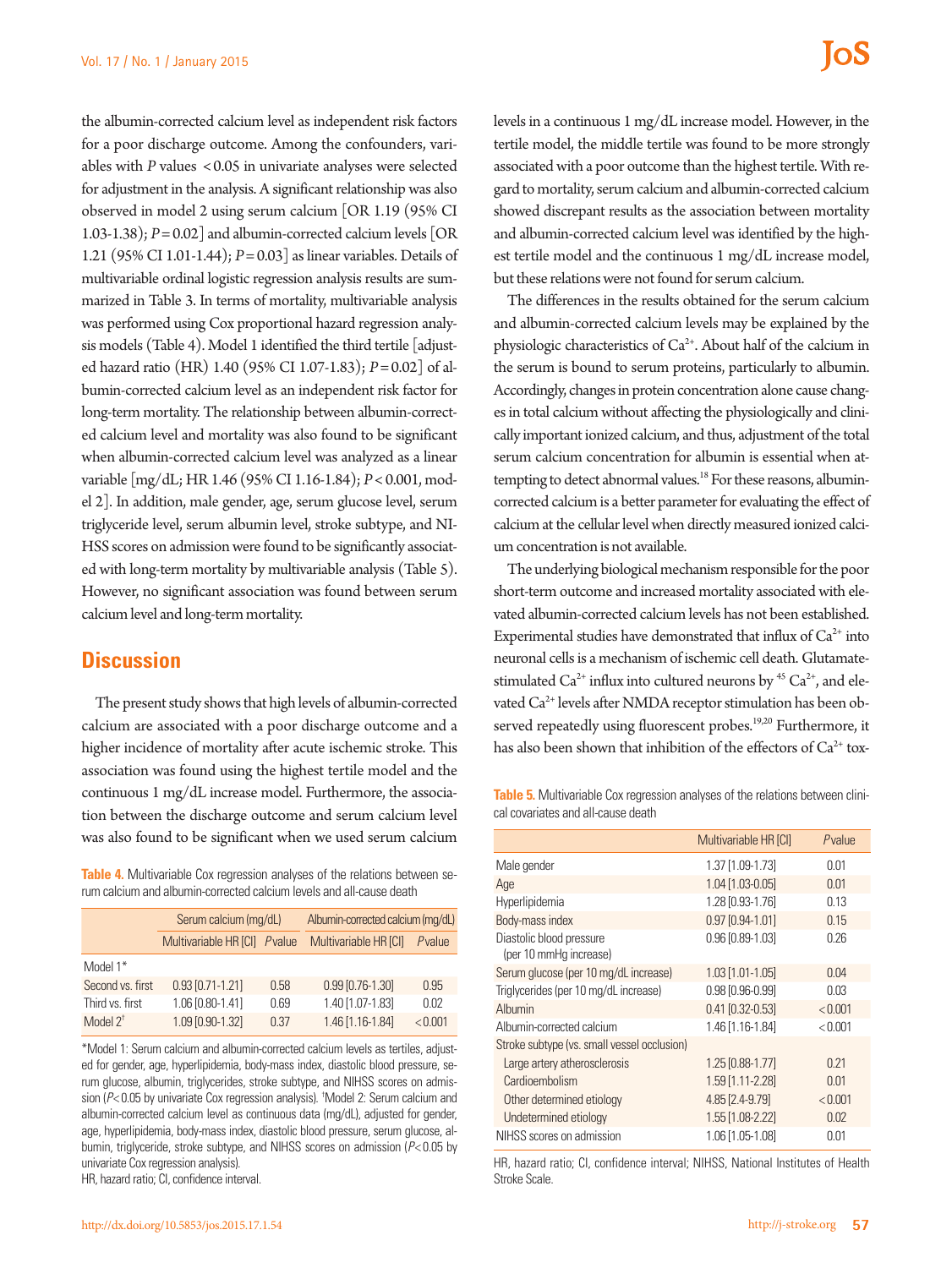the albumin-corrected calcium level as independent risk factors for a poor discharge outcome. Among the confounders, variables with *P* values <0.05 in univariate analyses were selected for adjustment in the analysis. A significant relationship was also observed in model 2 using serum calcium [OR 1.19 (95% CI 1.03-1.38); *P*= 0.02] and albumin-corrected calcium levels [OR 1.21 (95% CI 1.01-1.44); *P*= 0.03] as linear variables. Details of multivariable ordinal logistic regression analysis results are summarized in Table 3. In terms of mortality, multivariable analysis was performed using Cox proportional hazard regression analysis models (Table 4). Model 1 identified the third tertile [adjusted hazard ratio (HR) 1.40 (95% CI 1.07-1.83); *P*= 0.02] of albumin-corrected calcium level as an independent risk factor for long-term mortality. The relationship between albumin-corrected calcium level and mortality was also found to be significant when albumin-corrected calcium level was analyzed as a linear variable [mg/dL; HR 1.46 (95% CI 1.16-1.84); *P*< 0.001, model 2]. In addition, male gender, age, serum glucose level, serum triglyceride level, serum albumin level, stroke subtype, and NI-HSS scores on admission were found to be significantly associated with long-term mortality by multivariable analysis (Table 5). However, no significant association was found between serum calcium level and long-term mortality.

## **Discussion**

The present study shows that high levels of albumin-corrected calcium are associated with a poor discharge outcome and a higher incidence of mortality after acute ischemic stroke. This association was found using the highest tertile model and the continuous 1 mg/dL increase model. Furthermore, the association between the discharge outcome and serum calcium level was also found to be significant when we used serum calcium

**Table 4.** Multivariable Cox regression analyses of the relations between serum calcium and albumin-corrected calcium levels and all-cause death

|                     | Serum calcium (mg/dL)        |      | Albumin-corrected calcium (mg/dL) |         |
|---------------------|------------------------------|------|-----------------------------------|---------|
|                     | Multivariable HR [CI] Pvalue |      | Multivariable HR [CI]             | Pvalue  |
| Model 1*            |                              |      |                                   |         |
| Second vs. first    | $0.93$ $[0.71 - 1.21]$       | 0.58 | 0.99 [0.76-1.30]                  | 0.95    |
| Third vs. first     | 1.06 [0.80-1.41]             | 0.69 | 1.40 [1.07-1.83]                  | 0.02    |
| Model $2^{\dagger}$ | 1.09 [0.90-1.32]             | 0.37 | 1.46 [1.16-1.84]                  | < 0.001 |

\*Model 1: Serum calcium and albumin-corrected calcium levels as tertiles, adjusted for gender, age, hyperlipidemia, body-mass index, diastolic blood pressure, serum glucose, albumin, triglycerides, stroke subtype, and NIHSS scores on admission (*P*< 0.05 by univariate Cox regression analysis). † Model 2: Serum calcium and albumin-corrected calcium level as continuous data (mg/dL), adjusted for gender, age, hyperlipidemia, body-mass index, diastolic blood pressure, serum glucose, albumin, triglyceride, stroke subtype, and NIHSS scores on admission (*P*< 0.05 by univariate Cox regression analysis).

HR, hazard ratio; CI, confidence interval.

levels in a continuous 1 mg/dL increase model. However, in the tertile model, the middle tertile was found to be more strongly associated with a poor outcome than the highest tertile. With regard to mortality, serum calcium and albumin-corrected calcium showed discrepant results as the association between mortality and albumin-corrected calcium level was identified by the highest tertile model and the continuous 1 mg/dL increase model, but these relations were not found for serum calcium.

The differences in the results obtained for the serum calcium and albumin-corrected calcium levels may be explained by the physiologic characteristics of Ca<sup>2+</sup>. About half of the calcium in the serum is bound to serum proteins, particularly to albumin. Accordingly, changes in protein concentration alone cause changes in total calcium without affecting the physiologically and clinically important ionized calcium, and thus, adjustment of the total serum calcium concentration for albumin is essential when attempting to detect abnormal values.<sup>18</sup> For these reasons, albumincorrected calcium is a better parameter for evaluating the effect of calcium at the cellular level when directly measured ionized calcium concentration is not available.

The underlying biological mechanism responsible for the poor short-term outcome and increased mortality associated with elevated albumin-corrected calcium levels has not been established. Experimental studies have demonstrated that influx of  $Ca^{2+}$  into neuronal cells is a mechanism of ischemic cell death. Glutamatestimulated  $Ca^{2+}$  influx into cultured neurons by <sup>45</sup>  $Ca^{2+}$ , and elevated Ca<sup>2+</sup> levels after NMDA receptor stimulation has been observed repeatedly using fluorescent probes.<sup>19,20</sup> Furthermore, it has also been shown that inhibition of the effectors of  $Ca^{2+}$  tox-

**Table 5.** Multivariable Cox regression analyses of the relations between clinical covariates and all-cause death

|                                                    | Multivariable HR [CI]  | Pvalue          |
|----------------------------------------------------|------------------------|-----------------|
| Male gender                                        | 1.37 [1.09-1.73]       | 0.01            |
| Age                                                | $1.04$ [1.03-0.05]     | 0.01            |
| Hyperlipidemia                                     | 1.28 [0.93-1.76]       | 0.13            |
| Body-mass index                                    | 0.97 [0.94-1.01]       | 0.15            |
| Diastolic blood pressure<br>(per 10 mmHg increase) | 0.96 [0.89-1.03]       | 0.26            |
| Serum glucose (per 10 mg/dL increase)              | $1.03$ [1.01-1.05]     | 0.04            |
| Triglycerides (per 10 mg/dL increase)              | $0.98$ $[0.96 - 0.99]$ | 0.03            |
| Alhumin                                            | $0.41$ $[0.32 - 0.53]$ | < 0.001         |
| Albumin-corrected calcium                          | 1.46 [1.16-1.84]       | < 0.001         |
| Stroke subtype (vs. small vessel occlusion)        |                        |                 |
| Large artery atherosclerosis                       | $1.25$ [0.88-1.77]     | O <sub>21</sub> |
| Cardioembolism                                     | 1.59 [1.11-2.28]       | 0.01            |
| Other determined etiology                          | 4.85 [2.4-9.79]        | < 0.001         |
| Undetermined etiology                              | 1.55 [1.08-2.22]       | 0.02            |
| NIHSS scores on admission                          | 1.06 [1.05-1.08]       | 0.01            |
|                                                    |                        |                 |

HR, hazard ratio; CI, confidence interval; NIHSS, National Institutes of Health Stroke Scale.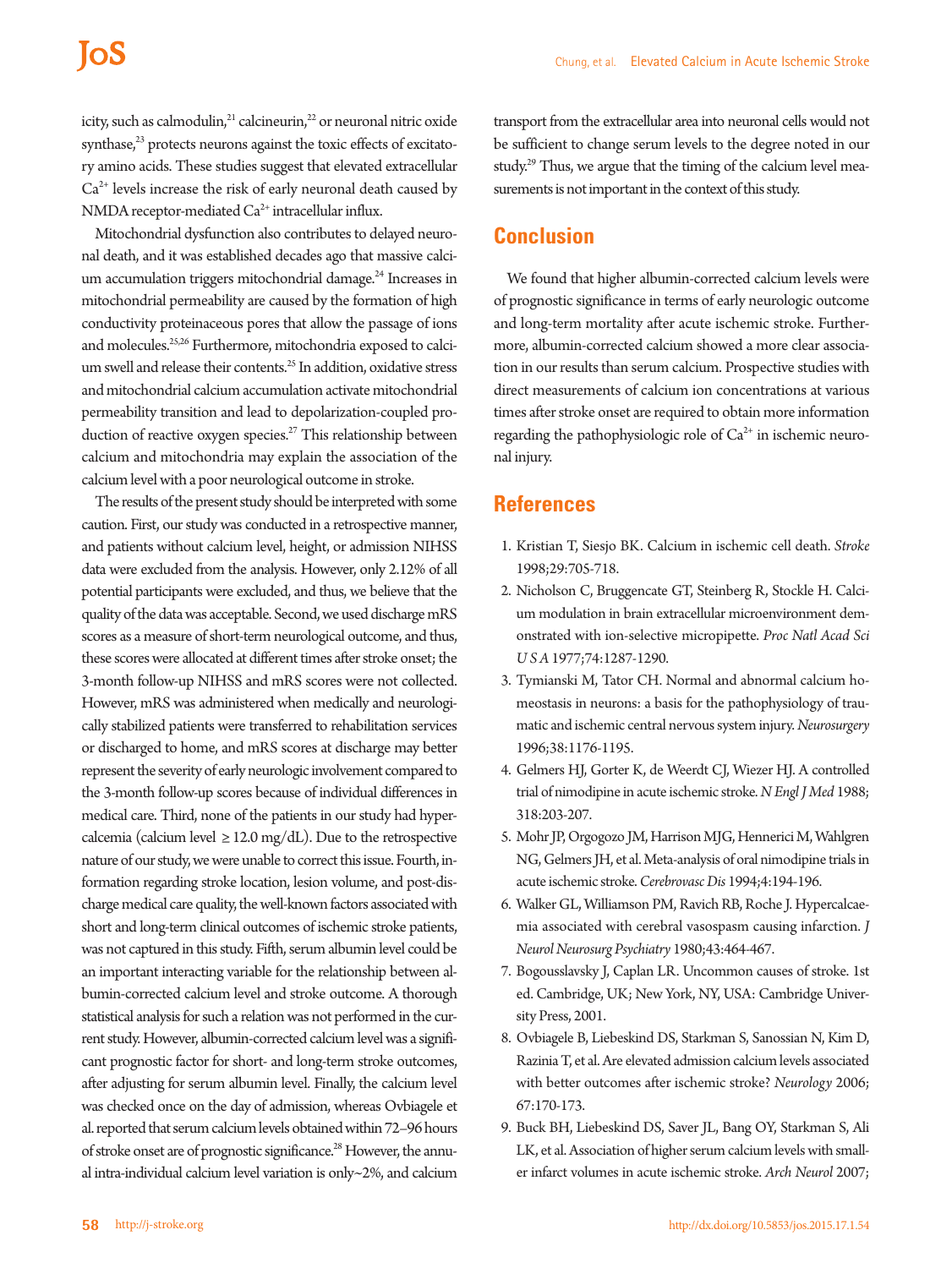# **IoS**

icity, such as calmodulin, $^{21}$  calcineurin, $^{22}$  or neuronal nitric oxide synthase,<sup>23</sup> protects neurons against the toxic effects of excitatory amino acids. These studies suggest that elevated extracellular  $Ca<sup>2+</sup>$  levels increase the risk of early neuronal death caused by NMDA receptor-mediated  $Ca^{2+}$  intracellular influx.

Mitochondrial dysfunction also contributes to delayed neuronal death, and it was established decades ago that massive calcium accumulation triggers mitochondrial damage.<sup>24</sup> Increases in mitochondrial permeability are caused by the formation of high conductivity proteinaceous pores that allow the passage of ions and molecules.<sup>25,26</sup> Furthermore, mitochondria exposed to calcium swell and release their contents.<sup>25</sup> In addition, oxidative stress and mitochondrial calcium accumulation activate mitochondrial permeability transition and lead to depolarization-coupled production of reactive oxygen species.<sup>27</sup> This relationship between calcium and mitochondria may explain the association of the calcium level with a poor neurological outcome in stroke.

The results of the present study should be interpreted with some caution. First, our study was conducted in a retrospective manner, and patients without calcium level, height, or admission NIHSS data were excluded from the analysis. However, only 2.12% of all potential participants were excluded, and thus, we believe that the quality of the data was acceptable. Second, we used discharge mRS scores as a measure of short-term neurological outcome, and thus, these scores were allocated at different times after stroke onset; the 3-month follow-up NIHSS and mRS scores were not collected. However, mRS was administered when medically and neurologically stabilized patients were transferred to rehabilitation services or discharged to home, and mRS scores at discharge may better represent the severity of early neurologic involvement compared to the 3-month follow-up scores because of individual differences in medical care. Third, none of the patients in our study had hypercalcemia (calcium level  $\geq$  12.0 mg/dL). Due to the retrospective nature of our study, we were unable to correct this issue. Fourth, information regarding stroke location, lesion volume, and post-discharge medical care quality, the well-known factors associated with short and long-term clinical outcomes of ischemic stroke patients, was not captured in this study. Fifth, serum albumin level could be an important interacting variable for the relationship between albumin-corrected calcium level and stroke outcome. A thorough statistical analysis for such a relation was not performed in the current study. However, albumin-corrected calcium level was a significant prognostic factor for short- and long-term stroke outcomes, after adjusting for serum albumin level. Finally, the calcium level was checked once on the day of admission, whereas Ovbiagele et al. reported that serum calcium levels obtained within 72–96 hours of stroke onset are of prognostic significance.<sup>28</sup> However, the annual intra-individual calcium level variation is only~2%, and calcium

transport from the extracellular area into neuronal cells would not be sufficient to change serum levels to the degree noted in our study.<sup>29</sup> Thus, we argue that the timing of the calcium level measurements is not important in the context of this study.

## **Conclusion**

We found that higher albumin-corrected calcium levels were of prognostic significance in terms of early neurologic outcome and long-term mortality after acute ischemic stroke. Furthermore, albumin-corrected calcium showed a more clear association in our results than serum calcium. Prospective studies with direct measurements of calcium ion concentrations at various times after stroke onset are required to obtain more information regarding the pathophysiologic role of  $Ca<sup>2+</sup>$  in ischemic neuronal injury.

## **References**

- 1. Kristian T, Siesjo BK. Calcium in ischemic cell death. *Stroke* 1998;29:705-718.
- 2. Nicholson C, Bruggencate GT, Steinberg R, Stockle H. Calcium modulation in brain extracellular microenvironment demonstrated with ion-selective micropipette. *Proc Natl Acad Sci U S A* 1977;74:1287-1290.
- 3. Tymianski M, Tator CH. Normal and abnormal calcium homeostasis in neurons: a basis for the pathophysiology of traumatic and ischemic central nervous system injury. *Neurosurgery* 1996;38:1176-1195.
- 4. Gelmers HJ, Gorter K, de Weerdt CJ, Wiezer HJ. A controlled trial of nimodipine in acute ischemic stroke. *N Engl J Med* 1988; 318:203-207.
- 5. Mohr JP, Orgogozo JM, Harrison MJG, Hennerici M, Wahlgren NG, Gelmers JH, et al. Meta-analysis of oral nimodipine trials in acute ischemic stroke. *Cerebrovasc Dis* 1994;4:194-196.
- 6. Walker GL, Williamson PM, Ravich RB, Roche J. Hypercalcaemia associated with cerebral vasospasm causing infarction. *J Neurol Neurosurg Psychiatry* 1980;43:464-467.
- 7. Bogousslavsky J, Caplan LR. Uncommon causes of stroke. 1st ed. Cambridge, UK; New York, NY, USA: Cambridge University Press, 2001.
- 8. Ovbiagele B, Liebeskind DS, Starkman S, Sanossian N, Kim D, Razinia T, et al. Are elevated admission calcium levels associated with better outcomes after ischemic stroke? *Neurology* 2006; 67:170-173.
- 9. Buck BH, Liebeskind DS, Saver JL, Bang OY, Starkman S, Ali LK, et al. Association of higher serum calcium levels with smaller infarct volumes in acute ischemic stroke. *Arch Neurol* 2007;